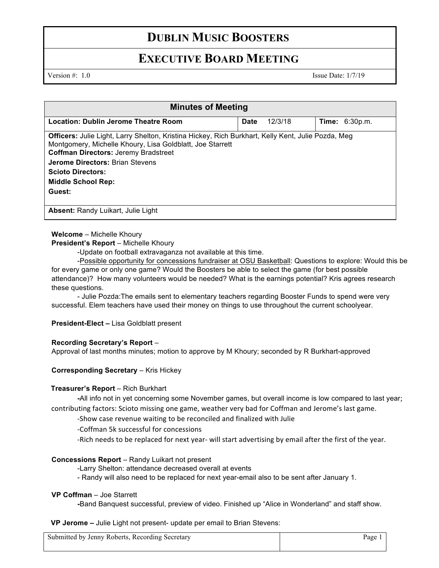# **DUBLIN MUSIC BOOSTERS**

## **EXECUTIVE BOARD MEETING**

Version #: 1.0 Issue Date: 1/7/19

| <b>Minutes of Meeting</b>                                                                                                                                                                                             |             |         |                       |  |
|-----------------------------------------------------------------------------------------------------------------------------------------------------------------------------------------------------------------------|-------------|---------|-----------------------|--|
| Location: Dublin Jerome Theatre Room                                                                                                                                                                                  | <b>Date</b> | 12/3/18 | <b>Time:</b> 6:30p.m. |  |
| <b>Officers:</b> Julie Light, Larry Shelton, Kristina Hickey, Rich Burkhart, Kelly Kent, Julie Pozda, Meg<br>Montgomery, Michelle Khoury, Lisa Goldblatt, Joe Starrett<br><b>Coffman Directors: Jeremy Bradstreet</b> |             |         |                       |  |
| <b>Jerome Directors: Brian Stevens</b>                                                                                                                                                                                |             |         |                       |  |
| <b>Scioto Directors:</b>                                                                                                                                                                                              |             |         |                       |  |
| <b>Middle School Rep:</b>                                                                                                                                                                                             |             |         |                       |  |
| Guest:                                                                                                                                                                                                                |             |         |                       |  |
| <b>Absent:</b> Randy Luikart, Julie Light                                                                                                                                                                             |             |         |                       |  |

## **Welcome** – Michelle Khoury

## **President's Report** – Michelle Khoury

-Update on football extravaganza not available at this time.

-Possible opportunity for concessions fundraiser at OSU Basketball: Questions to explore: Would this be for every game or only one game? Would the Boosters be able to select the game (for best possible attendance)? How many volunteers would be needed? What is the earnings potential? Kris agrees research these questions.

- Julie Pozda:The emails sent to elementary teachers regarding Booster Funds to spend were very successful. Elem teachers have used their money on things to use throughout the current schoolyear.

## **President-Elect –** Lisa Goldblatt present

## **Recording Secretary's Report** –

Approval of last months minutes; motion to approve by M Khoury; seconded by R Burkhart-approved

## **Corresponding Secretary - Kris Hickey**

#### **Treasurer's Report** – Rich Burkhart

**-**All info not in yet concerning some November games, but overall income is low compared to last year; contributing factors: Scioto missing one game, weather very bad for Coffman and Jerome's last game.

-Show case revenue waiting to be reconciled and finalized with Julie

-Coffman 5k successful for concessions

-Rich needs to be replaced for next year- will start advertising by email after the first of the year.

#### **Concessions Report** – Randy Luikart not present

-Larry Shelton: attendance decreased overall at events

- Randy will also need to be replaced for next year-email also to be sent after January 1.

#### **VP Coffman** – Joe Starrett

**-**Band Banquest successful, preview of video. Finished up "Alice in Wonderland" and staff show.

**VP Jerome –** Julie Light not present- update per email to Brian Stevens:

| Submitted by Jenny Roberts, Recording Secretary | $P_{\text{age}}$ |
|-------------------------------------------------|------------------|